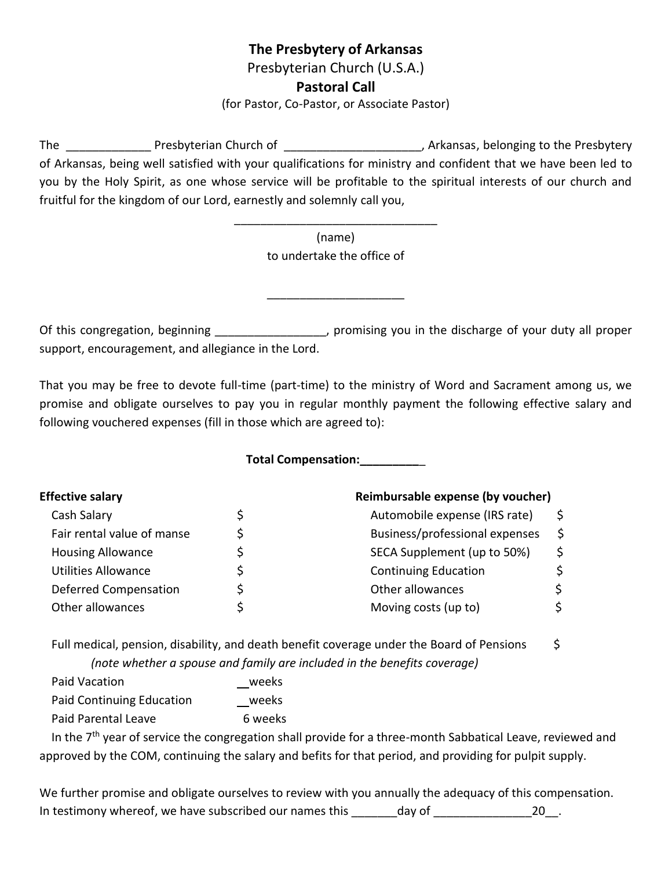## **The Presbytery of Arkansas**

Presbyterian Church (U.S.A.)

## **Pastoral Call**

(for Pastor, Co-Pastor, or Associate Pastor)

The Presbyterian Church of The Church of the Presbytery channels are all the Presbytery of Arkansas, being well satisfied with your qualifications for ministry and confident that we have been led to you by the Holy Spirit, as one whose service will be profitable to the spiritual interests of our church and fruitful for the kingdom of our Lord, earnestly and solemnly call you,

> (name) to undertake the office of

\_\_\_\_\_\_\_\_\_\_\_\_\_\_\_\_\_\_\_\_\_\_\_\_\_\_\_\_\_\_\_

Of this congregation, beginning \_\_\_\_\_\_\_\_\_\_\_\_\_\_\_\_\_, promising you in the discharge of your duty all proper support, encouragement, and allegiance in the Lord.

\_\_\_\_\_\_\_\_\_\_\_\_\_\_\_\_\_\_\_\_\_

That you may be free to devote full-time (part-time) to the ministry of Word and Sacrament among us, we promise and obligate ourselves to pay you in regular monthly payment the following effective salary and following vouchered expenses (fill in those which are agreed to):

**Total Compensation:\_\_\_\_\_\_\_\_\_**\_

|   | Reimbursable expense (by voucher) |   |  |
|---|-----------------------------------|---|--|
| S | Automobile expense (IRS rate)     |   |  |
| Ś | Business/professional expenses    | Ś |  |
|   | SECA Supplement (up to 50%)       |   |  |
|   | <b>Continuing Education</b>       |   |  |
|   | Other allowances                  |   |  |
|   | Moving costs (up to)              |   |  |
|   |                                   |   |  |

Full medical, pension, disability, and death benefit coverage under the Board of Pensions  $\frac{1}{2}$  *(note whether a spouse and family are included in the benefits coverage)*

| Paid Vacation                    | weeks   |
|----------------------------------|---------|
| <b>Paid Continuing Education</b> | weeks   |
| Paid Parental Leave              | 6 weeks |

In the  $7<sup>th</sup>$  year of service the congregation shall provide for a three-month Sabbatical Leave, reviewed and approved by the COM, continuing the salary and befits for that period, and providing for pulpit supply.

We further promise and obligate ourselves to review with you annually the adequacy of this compensation. In testimony whereof, we have subscribed our names this \_\_\_\_\_\_\_day of \_\_\_\_\_\_\_\_\_\_\_\_\_\_\_20\_\_.